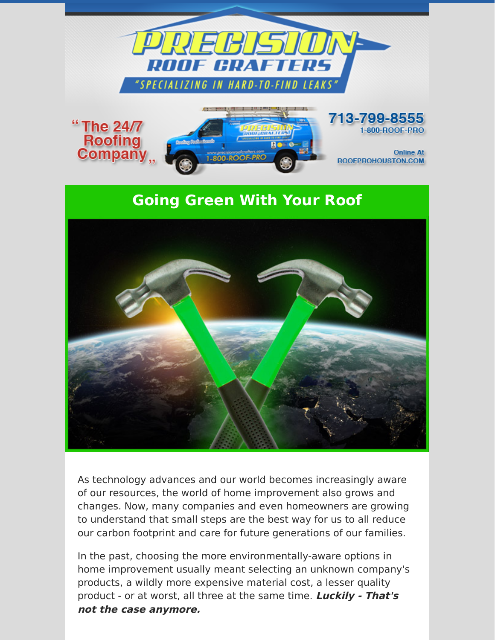

ROOFPROHOUSTON.COM

## **Going Green With Your Roof**



As technology advances and our world becomes increasingly aware of our resources, the world of home improvement also grows and changes. Now, many companies and even homeowners are growing to understand that small steps are the best way for us to all reduce our carbon footprint and care for future generations of our families.

In the past, choosing the more environmentally-aware options in home improvement usually meant selecting an unknown company's products, a wildly more expensive material cost, a lesser quality product - or at worst, all three at the same time. **Luckily - That's not the case anymore.**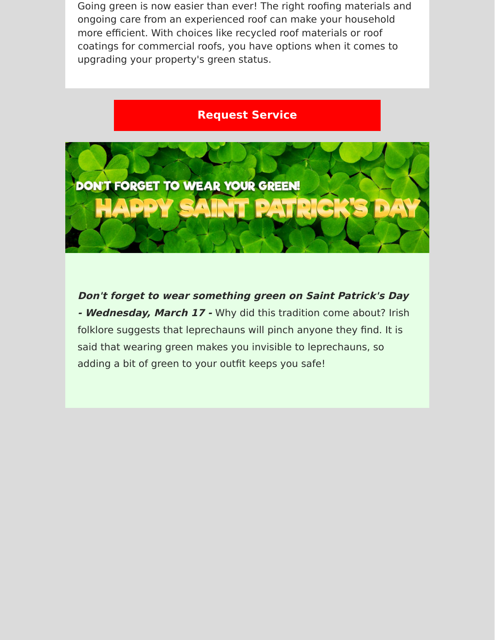Going green is now easier than ever! The right roofing materials and ongoing care from an experienced roof can make your household more efficient. With choices like recycled roof materials or roof coatings for commercial roofs, you have options when it comes to upgrading your property's green status.

## **[Request Service](https://www.precisionroofcrafters.com/contact-us.php)**



**Don't forget to wear something green on Saint Patrick's Day - Wednesday, March 17 -** Why did this tradition come about? Irish folklore suggests that leprechauns will pinch anyone they find. It is said that wearing green makes you invisible to leprechauns, so adding a bit of green to your outfit keeps you safe!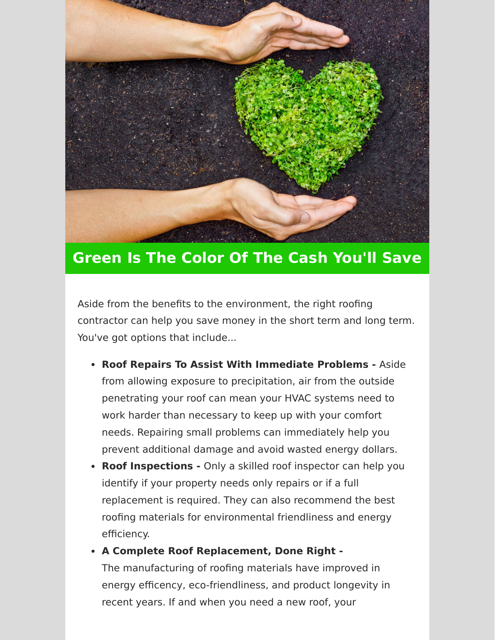

## **Green Is The Color Of The Cash You'll Save**

Aside from the benefits to the environment, the right roofing contractor can help you save money in the short term and long term. You've got options that include...

- **Roof Repairs To Assist With Immediate Problems** Aside from allowing exposure to precipitation, air from the outside penetrating your roof can mean your HVAC systems need to work harder than necessary to keep up with your comfort needs. Repairing small problems can immediately help you prevent additional damage and avoid wasted energy dollars.
- **Roof Inspections** Only a skilled roof inspector can help you identify if your property needs only repairs or if a full replacement is required. They can also recommend the best roofing materials for environmental friendliness and energy efficiency.
- **A Complete Roof Replacement, Done Right -** The manufacturing of roofing materials have improved in energy efficency, eco-friendliness, and product longevity in recent years. If and when you need a new roof, your